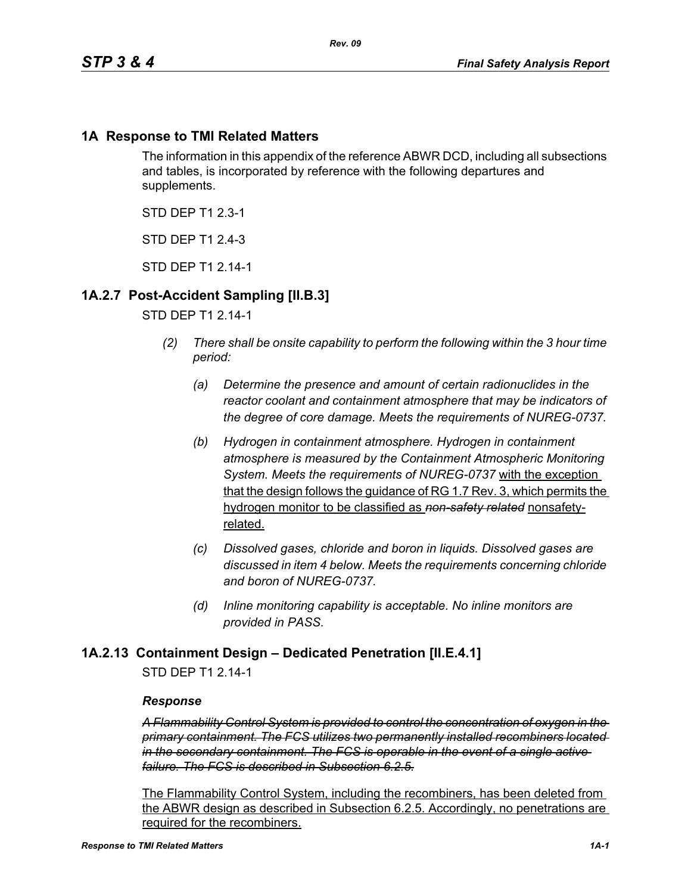### **1A Response to TMI Related Matters**

The information in this appendix of the reference ABWR DCD, including all subsections and tables, is incorporated by reference with the following departures and supplements.

STD DEP T1 2.3-1

STD DFP T1 2 4-3

STD DFP T1 2 14-1

### **1A.2.7 Post-Accident Sampling [II.B.3]**

#### STD DEP T1 2.14-1

- *(2) There shall be onsite capability to perform the following within the 3 hour time period:*
	- *(a) Determine the presence and amount of certain radionuclides in the reactor coolant and containment atmosphere that may be indicators of the degree of core damage. Meets the requirements of NUREG-0737.*
	- *(b) Hydrogen in containment atmosphere. Hydrogen in containment atmosphere is measured by the Containment Atmospheric Monitoring System. Meets the requirements of NUREG-0737* with the exception that the design follows the guidance of RG 1.7 Rev. 3, which permits the hydrogen monitor to be classified as *non-safety related* nonsafetyrelated.
	- *(c) Dissolved gases, chloride and boron in liquids. Dissolved gases are discussed in item 4 below. Meets the requirements concerning chloride and boron of NUREG-0737.*
	- *(d) Inline monitoring capability is acceptable. No inline monitors are provided in PASS.*

### **1A.2.13 Containment Design – Dedicated Penetration [II.E.4.1]**

STD DEP T1 2.14-1

#### *Response*

*A Flammability Control System is provided to control the concentration of oxygen in the primary containment. The FCS utilizes two permanently installed recombiners located in the secondary containment. The FCS is operable in the event of a single active failure. The FCS is described in Subsection 6.2.5.*

The Flammability Control System, including the recombiners, has been deleted from the ABWR design as described in Subsection 6.2.5. Accordingly, no penetrations are required for the recombiners.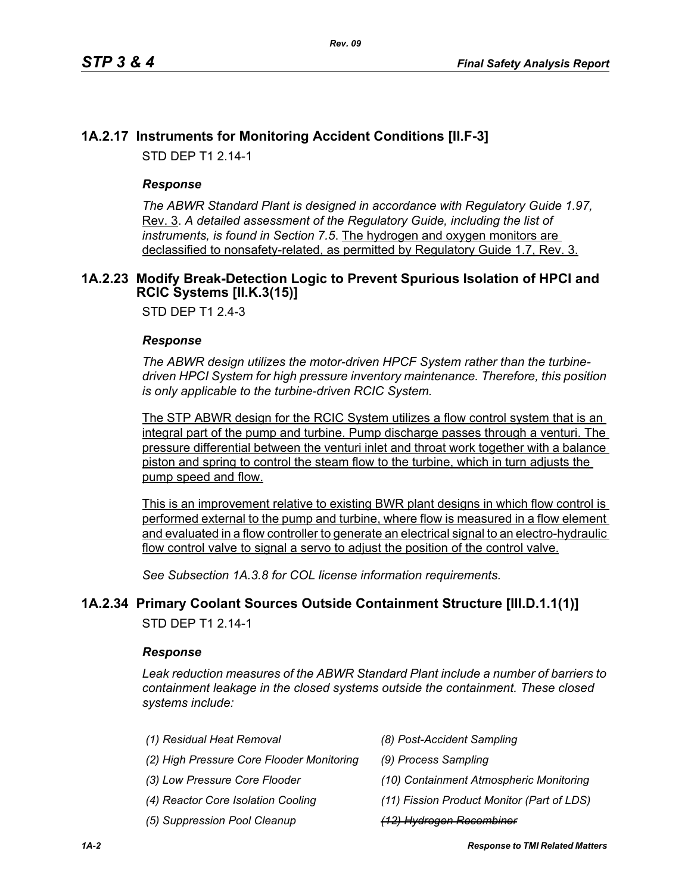# **1A.2.17 Instruments for Monitoring Accident Conditions [II.F-3]**

STD DEP T1 2.14-1

### *Response*

*The ABWR Standard Plant is designed in accordance with Regulatory Guide 1.97,* Rev. 3. *A detailed assessment of the Regulatory Guide, including the list of instruments, is found in Section 7.5*. The hydrogen and oxygen monitors are declassified to nonsafety-related, as permitted by Regulatory Guide 1.7, Rev. 3.

### <span id="page-1-0"></span>**1A.2.23 Modify Break-Detection Logic to Prevent Spurious Isolation of HPCI and RCIC Systems [II.K.3(15)]**

STD DEP T1 2.4-3

#### *Response*

*The ABWR design utilizes the motor-driven HPCF System rather than the turbinedriven HPCI System for high pressure inventory maintenance. Therefore, this position is only applicable to the turbine-driven RCIC System.*

The STP ABWR design for the RCIC System utilizes a flow control system that is an integral part of the pump and turbine. Pump discharge passes through a venturi. The pressure differential between the venturi inlet and throat work together with a balance piston and spring to control the steam flow to the turbine, which in turn adjusts the pump speed and flow.

This is an improvement relative to existing BWR plant designs in which flow control is performed external to the pump and turbine, where flow is measured in a flow element and evaluated in a flow controller to generate an electrical signal to an electro-hydraulic flow control valve to signal a servo to adjust the position of the control valve.

*See Subsection 1A.3.8 for COL license information requirements.*

## **1A.2.34 Primary Coolant Sources Outside Containment Structure [III.D.1.1(1)]**

STD DEP T1 2.14-1

### *Response*

*Leak reduction measures of the ABWR Standard Plant include a number of barriers to containment leakage in the closed systems outside the containment. These closed systems include:*

| (1) Residual Heat Removal                 | (8) Post-Accident Sampling                 |
|-------------------------------------------|--------------------------------------------|
| (2) High Pressure Core Flooder Monitoring | (9) Process Sampling                       |
| (3) Low Pressure Core Flooder             | (10) Containment Atmospheric Monitoring    |
| (4) Reactor Core Isolation Cooling        | (11) Fission Product Monitor (Part of LDS) |
| (5) Suppression Pool Cleanup              | (12) Hydrogen Recombiner                   |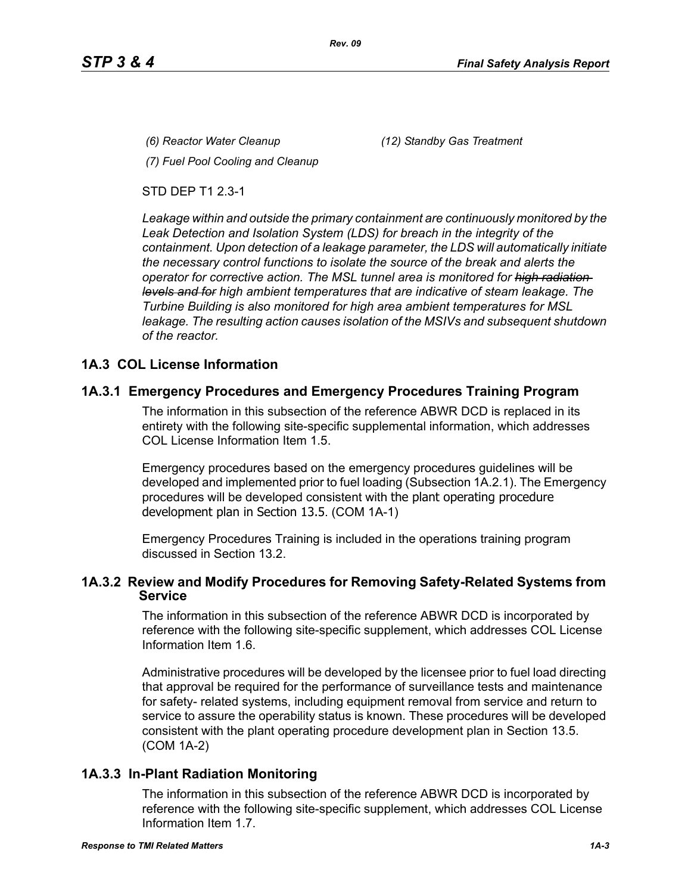*(6) Reactor Water Cleanup (12) Standby Gas Treatment*

*(7) Fuel Pool Cooling and Cleanup*

STD DEP T1 2.3-1

*Leakage within and outside the primary containment are continuously monitored by the Leak Detection and Isolation System (LDS) for breach in the integrity of the containment. Upon detection of a leakage parameter, the LDS will automatically initiate the necessary control functions to isolate the source of the break and alerts the operator for corrective action. The MSL tunnel area is monitored for high radiation levels and for high ambient temperatures that are indicative of steam leakage. The Turbine Building is also monitored for high area ambient temperatures for MSL leakage. The resulting action causes isolation of the MSIVs and subsequent shutdown of the reactor.*

# **1A.3 COL License Information**

# **1A.3.1 Emergency Procedures and Emergency Procedures Training Program**

The information in this subsection of the reference ABWR DCD is replaced in its entirety with the following site-specific supplemental information, which addresses COL License Information Item 1.5.

Emergency procedures based on the emergency procedures guidelines will be developed and implemented prior to fuel loading (Subsection 1A.2.1). The Emergency procedures will be developed consistent with the plant operating procedure development plan in Section 13.5. (COM 1A-1)

Emergency Procedures Training is included in the operations training program discussed in Section 13.2.

### **1A.3.2 Review and Modify Procedures for Removing Safety-Related Systems from Service**

The information in this subsection of the reference ABWR DCD is incorporated by reference with the following site-specific supplement, which addresses COL License Information Item 1.6.

Administrative procedures will be developed by the licensee prior to fuel load directing that approval be required for the performance of surveillance tests and maintenance for safety- related systems, including equipment removal from service and return to service to assure the operability status is known. These procedures will be developed consistent with the plant operating procedure development plan in Section 13.5. (COM 1A-2)

# **1A.3.3 In-Plant Radiation Monitoring**

The information in this subsection of the reference ABWR DCD is incorporated by reference with the following site-specific supplement, which addresses COL License Information Item 1.7.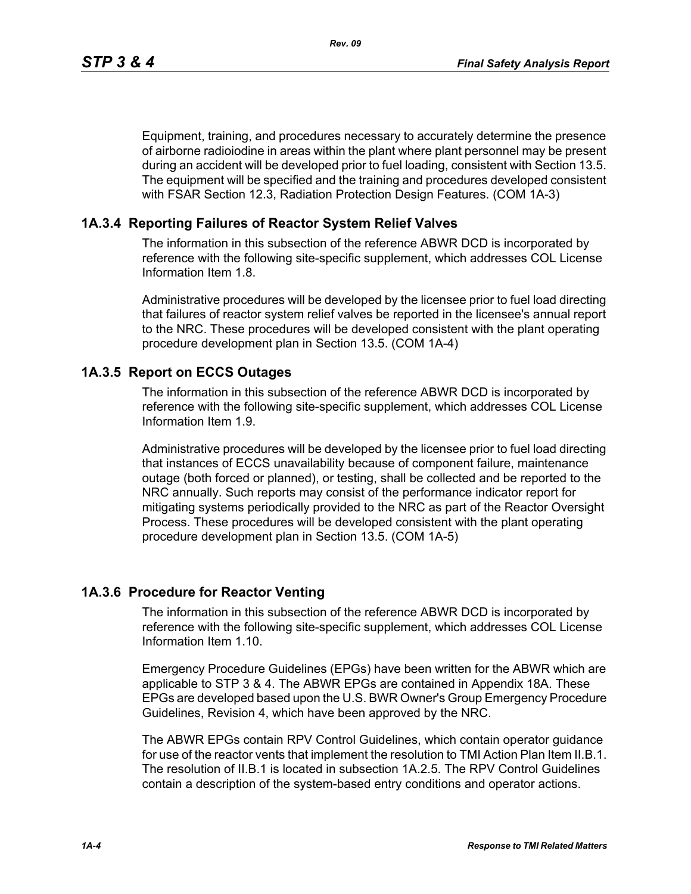Equipment, training, and procedures necessary to accurately determine the presence of airborne radioiodine in areas within the plant where plant personnel may be present during an accident will be developed prior to fuel loading, consistent with Section 13.5. The equipment will be specified and the training and procedures developed consistent with FSAR Section 12.3, Radiation Protection Design Features. (COM 1A-3)

### **1A.3.4 Reporting Failures of Reactor System Relief Valves**

The information in this subsection of the reference ABWR DCD is incorporated by reference with the following site-specific supplement, which addresses COL License Information Item 1.8.

Administrative procedures will be developed by the licensee prior to fuel load directing that failures of reactor system relief valves be reported in the licensee's annual report to the NRC. These procedures will be developed consistent with the plant operating procedure development plan in Section 13.5. (COM 1A-4)

### **1A.3.5 Report on ECCS Outages**

The information in this subsection of the reference ABWR DCD is incorporated by reference with the following site-specific supplement, which addresses COL License Information Item 1.9.

Administrative procedures will be developed by the licensee prior to fuel load directing that instances of ECCS unavailability because of component failure, maintenance outage (both forced or planned), or testing, shall be collected and be reported to the NRC annually. Such reports may consist of the performance indicator report for mitigating systems periodically provided to the NRC as part of the Reactor Oversight Process. These procedures will be developed consistent with the plant operating procedure development plan in Section 13.5. (COM 1A-5)

### **1A.3.6 Procedure for Reactor Venting**

The information in this subsection of the reference ABWR DCD is incorporated by reference with the following site-specific supplement, which addresses COL License Information Item 1.10.

Emergency Procedure Guidelines (EPGs) have been written for the ABWR which are applicable to STP 3 & 4. The ABWR EPGs are contained in Appendix 18A. These EPGs are developed based upon the U.S. BWR Owner's Group Emergency Procedure Guidelines, Revision 4, which have been approved by the NRC.

The ABWR EPGs contain RPV Control Guidelines, which contain operator guidance for use of the reactor vents that implement the resolution to TMI Action Plan Item II.B.1. The resolution of II.B.1 is located in subsection 1A.2.5. The RPV Control Guidelines contain a description of the system-based entry conditions and operator actions.